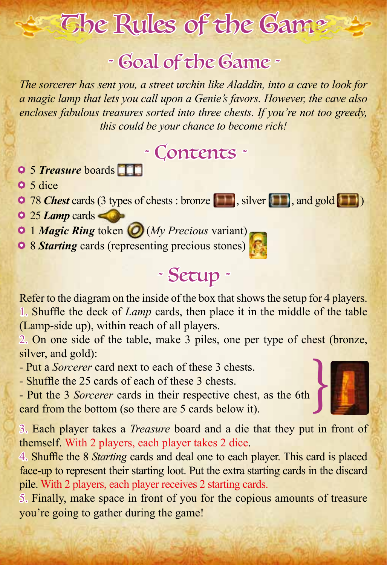# The Rules of the Game

## *˜* Goal of the Game *˜*

*The sorcerer has sent you, a street urchin like Aladdin, into a cave to look for a magic lamp that lets you call upon a Genie's favors. However, the cave also encloses fabulous treasures sorted into three chests. If you're not too greedy, this could be your chance to become rich!*

## *˜* Contents *˜*

- 5 *Treasure* boards
- 5 dice
- 78 *Chest* cards (3 types of chests : bronze , silver **11**, and gold **11**
- 25 *Lamp* cards
- 1 *Magic Ring* token(*My Precious* variant)
- 8 *Starting* cards (representing precious stones)

## *˜* Setup *˜*

Refer to the diagram on the inside of the box that shows the setup for 4 players. 1. Shuffle the deck of *Lamp* cards, then place it in the middle of the table (Lamp-side up), within reach of all players.

2. On one side of the table, make 3 piles, one per type of chest (bronze, silver, and gold):

- Put a *Sorcerer* card next to each of these 3 chests.

- Shuffle the 25 cards of each of these 3 chests.

- Put the 3 *Sorcerer* cards in their respective chest, as the 6th card from the bottom (so there are 5 cards below it).

3. Each player takes a *Treasure* board and a die that they put in front of themself. With 2 players, each player takes 2 dice.

4. Shuffle the 8 *Starting* cards and deal one to each player. This card is placed face-up to represent their starting loot. Put the extra starting cards in the discard pile. With 2 players, each player receives 2 starting cards.

5. Finally, make space in front of you for the copious amounts of treasure you're going to gather during the game!



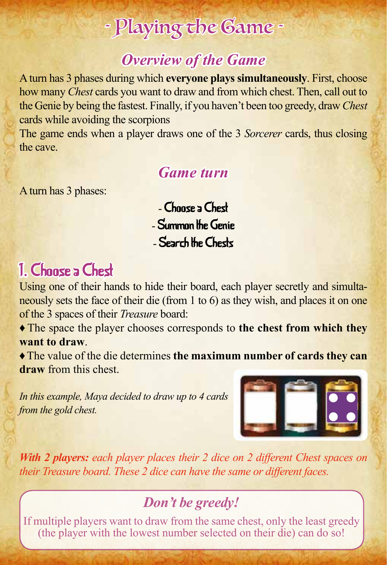## *˜* Playing the Game *˜*

### *Overview of the Game*

A turn has 3 phases during which **everyone plays simultaneously**. First, choose how many *Chest* cards you want to draw and from which chest. Then, call out to the Genie by being the fastest. Finally, if you haven't been too greedy, draw *Chest* cards while avoiding the scorpions

The game ends when a player draws one of the 3 *Sorcerer* cards, thus closing the cave.

### *Game turn*

A turn has 3 phases:

- Choose a Chest - Summon the Genie - Search the Chests

## 1. Choose a Chest

Using one of their hands to hide their board, each player secretly and simultaneously sets the face of their die (from 1 to 6) as they wish, and places it on one of the 3 spaces of their *Treasure* board:

♦ The space the player chooses corresponds to **the chest from which they want to draw**.

♦ The value of the die determines **the maximum number of cards they can draw** from this chest.

*In this example, Maya decided to draw up to 4 cards from the gold chest.*



*With 2 players: each player places their 2 dice on 2 different Chest spaces on their Treasure board. These 2 dice can have the same or different faces.*

### *Don't be greedy!*

If multiple players want to draw from the same chest, only the least greedy (the player with the lowest number selected on their die) can do so!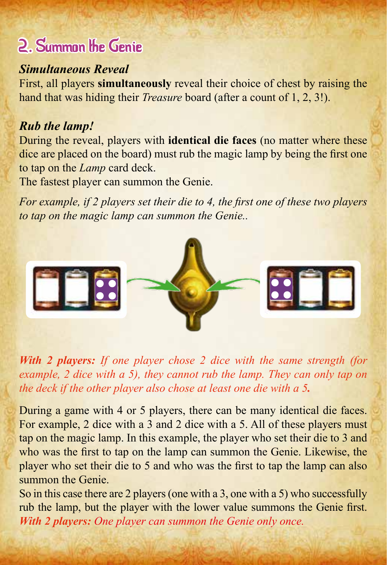## 2. Summon the Genie

#### *Simultaneous Reveal*

First, all players **simultaneously** reveal their choice of chest by raising the hand that was hiding their *Treasure* board (after a count of 1, 2, 3!).

#### *Rub the lamp!*

During the reveal, players with **identical die faces** (no matter where these dice are placed on the board) must rub the magic lamp by being the first one to tap on the *Lamp* card deck.

The fastest player can summon the Genie.

*For example, if 2 players set their die to 4, the first one of these two players to tap on the magic lamp can summon the Genie..*



*With 2 players: If one player chose 2 dice with the same strength (for example, 2 dice with a 5), they cannot rub the lamp. They can only tap on the deck if the other player also chose at least one die with a 5.*

During a game with 4 or 5 players, there can be many identical die faces. For example, 2 dice with a 3 and 2 dice with a 5. All of these players must tap on the magic lamp. In this example, the player who set their die to 3 and who was the first to tap on the lamp can summon the Genie. Likewise, the player who set their die to 5 and who was the first to tap the lamp can also summon the Genie.

So in this case there are 2 players (one with a 3, one with a 5) who successfully rub the lamp, but the player with the lower value summons the Genie first. *With 2 players: One player can summon the Genie only once.*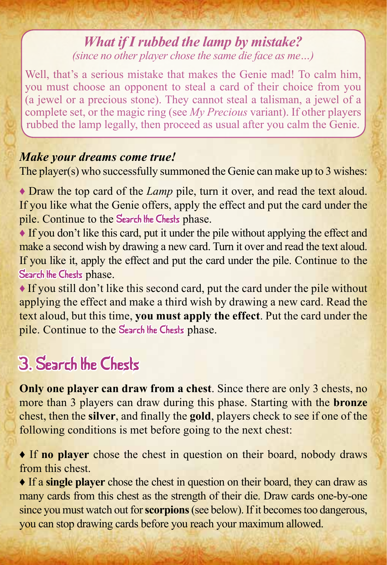#### *What if I rubbed the lamp by mistake? (since no other player chose the same die face as me…)*

Well, that's a serious mistake that makes the Genie mad! To calm him, you must choose an opponent to steal a card of their choice from you (a jewel or a precious stone). They cannot steal a talisman, a jewel of a complete set, or the magic ring (see *My Precious* variant). If other players rubbed the lamp legally, then proceed as usual after you calm the Genie.

#### *Make your dreams come true!*

The player(s) who successfully summoned the Genie can make up to 3 wishes:

♦ Draw the top card of the *Lamp* pile, turn it over, and read the text aloud. If you like what the Genie offers, apply the effect and put the card under the pile. Continue to the Search the Chests phase.

♦ If you don't like this card, put it under the pile without applying the effect and make a second wish by drawing a new card. Turn it over and read the text aloud. If you like it, apply the effect and put the card under the pile. Continue to the Search the Chests phase.

♦ If you still don't like this second card, put the card under the pile without applying the effect and make a third wish by drawing a new card. Read the text aloud, but this time, **you must apply the effect**. Put the card under the pile. Continue to the Search the Chests phase.

## 3. Search the Chests

**Only one player can draw from a chest**. Since there are only 3 chests, no more than 3 players can draw during this phase. Starting with the **bronze** chest, then the **silver**, and finally the **gold**, players check to see if one of the following conditions is met before going to the next chest:

♦ If **no player** chose the chest in question on their board, nobody draws from this chest.

♦ If a **single player** chose the chest in question on their board, they can draw as many cards from this chest as the strength of their die. Draw cards one-by-one since you must watch out for **scorpions** (see below). If it becomes too dangerous, you can stop drawing cards before you reach your maximum allowed.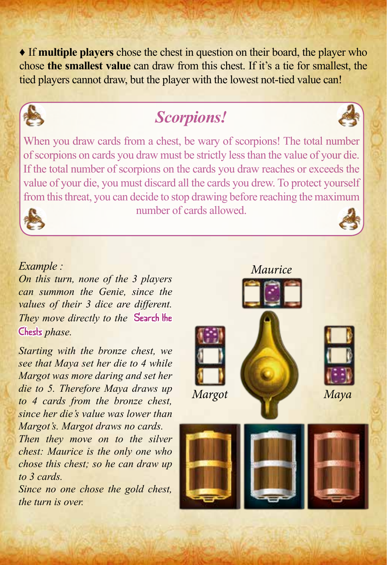♦ If **multiple players** chose the chest in question on their board, the player who chose **the smallest value** can draw from this chest. If it's a tie for smallest, the tied players cannot draw, but the player with the lowest not-tied value can!



### *Scorpions!*



When you draw cards from a chest, be wary of scorpions! The total number of scorpions on cards you draw must be strictly less than the value of your die. If the total number of scorpions on the cards you draw reaches or exceeds the value of your die, you must discard all the cards you drew. To protect yourself from this threat, you can decide to stop drawing before reaching the maximum



number of cards allowed.

#### *Example :*

*On this turn, none of the 3 players can summon the Genie, since the values of their 3 dice are different. They move directly to the* Search the Chests *phase.*

*Starting with the bronze chest, we see that Maya set her die to 4 while Margot was more daring and set her die to 5. Therefore Maya draws up to 4 cards from the bronze chest, since her die's value was lower than Margot's. Margot draws no cards.*

*Then they move on to the silver chest: Maurice is the only one who chose this chest; so he can draw up to 3 cards.*

*Since no one chose the gold chest, the turn is over.*

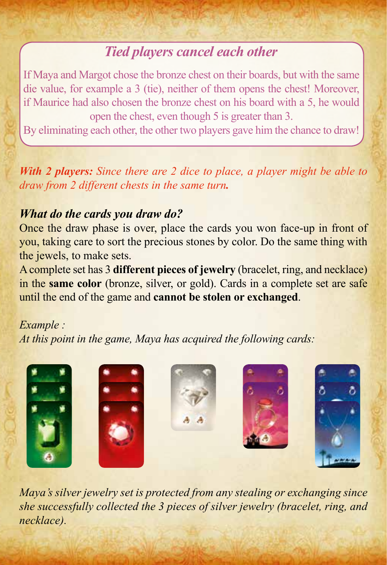### *Tied players cancel each other*

If Maya and Margot chose the bronze chest on their boards, but with the same die value, for example a 3 (tie), neither of them opens the chest! Moreover, if Maurice had also chosen the bronze chest on his board with a 5, he would open the chest, even though 5 is greater than 3.

By eliminating each other, the other two players gave him the chance to draw!

*With 2 players: Since there are 2 dice to place, a player might be able to draw from 2 different chests in the same turn.*

#### *What do the cards you draw do?*

Once the draw phase is over, place the cards you won face-up in front of you, taking care to sort the precious stones by color. Do the same thing with the jewels, to make sets.

A complete set has 3 **different pieces of jewelry** (bracelet, ring, and necklace) in the **same color** (bronze, silver, or gold). Cards in a complete set are safe until the end of the game and **cannot be stolen or exchanged**.

#### *Example :*

*At this point in the game, Maya has acquired the following cards:*



*Maya's silver jewelry set is protected from any stealing or exchanging since she successfully collected the 3 pieces of silver jewelry (bracelet, ring, and necklace).*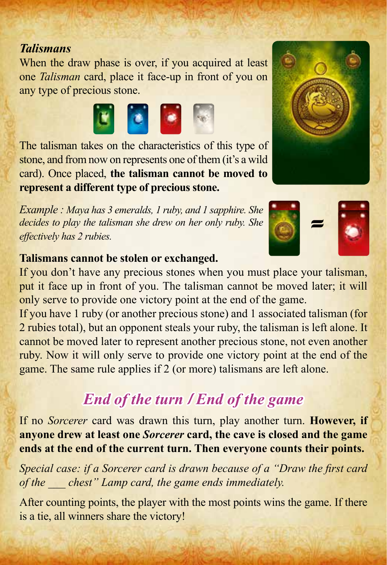#### *Talismans*

When the draw phase is over, if you acquired at least one *Talisman* card, place it face-up in front of you on any type of precious stone.



The talisman takes on the characteristics of this type of stone, and from now on represents one of them (it's a wild card). Once placed, **the talisman cannot be moved to represent a different type of precious stone.**

*Example : Maya has 3 emeralds, 1 ruby, and 1 sapphire. She decides to play the talisman she drew on her only ruby. She effectively has 2 rubies.*

#### **Talismans cannot be stolen or exchanged.**

If you don't have any precious stones when you must place your talisman, put it face up in front of you. The talisman cannot be moved later; it will only serve to provide one victory point at the end of the game.

If you have 1 ruby (or another precious stone) and 1 associated talisman (for 2 rubies total), but an opponent steals your ruby, the talisman is left alone. It cannot be moved later to represent another precious stone, not even another ruby. Now it will only serve to provide one victory point at the end of the game. The same rule applies if 2 (or more) talismans are left alone.

### *End of the turn* / *End of the game*

If no *Sorcerer* card was drawn this turn, play another turn. **However, if anyone drew at least one** *Sorcerer* **card, the cave is closed and the game ends at the end of the current turn. Then everyone counts their points.**

*Special case: if a Sorcerer card is drawn because of a "Draw the first card of the \_\_\_ chest" Lamp card, the game ends immediately.*

After counting points, the player with the most points wins the game. If there is a tie, all winners share the victory!